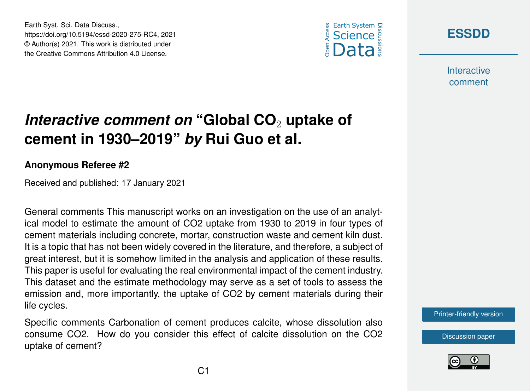





**Interactive** comment

## *Interactive comment on* "Global CO<sub>2</sub> uptake of **cement in 1930–2019"** *by* **Rui Guo et al.**

## **Anonymous Referee #2**

Received and published: 17 January 2021

General comments This manuscript works on an investigation on the use of an analytical model to estimate the amount of CO2 uptake from 1930 to 2019 in four types of cement materials including concrete, mortar, construction waste and cement kiln dust. It is a topic that has not been widely covered in the literature, and therefore, a subject of great interest, but it is somehow limited in the analysis and application of these results. This paper is useful for evaluating the real environmental impact of the cement industry. This dataset and the estimate methodology may serve as a set of tools to assess the emission and, more importantly, the uptake of CO2 by cement materials during their life cycles.

Specific comments Carbonation of cement produces calcite, whose dissolution also consume CO2. How do you consider this effect of calcite dissolution on the CO2 uptake of cement?

[Printer-friendly version](https://essd.copernicus.org/preprints/essd-2020-275/essd-2020-275-RC4-print.pdf)

[Discussion paper](https://essd.copernicus.org/preprints/essd-2020-275)